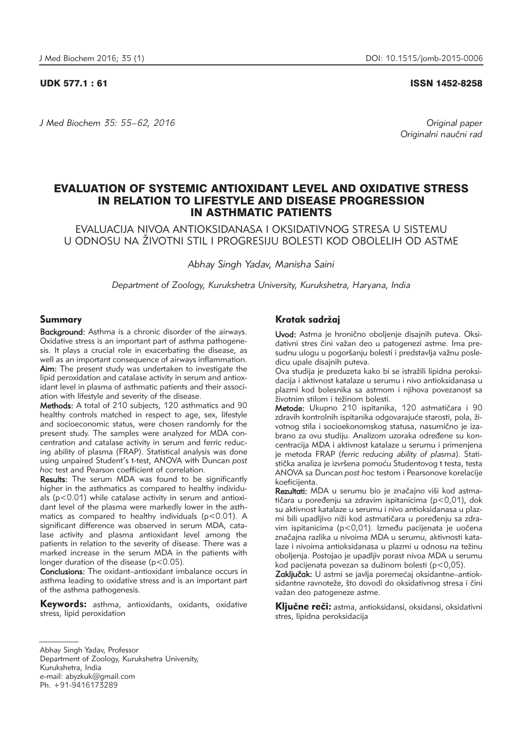UDK 577.1 : 61 ISSN 1452-8258

*J Med Biochem 35: 55–62, 2016 Original paper*

Originalni naučni rad

# EVALUATION OF SYSTEMIC ANTIOXIDANT LEVEL AND OXIDATIVE STRESS IN RELATION TO LIFESTYLE AND DISEASE PROGRESSION IN ASTHMATIC PATIENTS

EVALUACIJA NIVOA ANTIOKSIDANASA I OKSIDATIVNOG STRESA U SISTEMU U ODNOSU NA @IVOTNI STIL I PROGRESIJU BOLESTI KOD OBOLELIH OD ASTME

*Abhay Singh Yadav, Manisha Saini*

*Department of Zoology, Kurukshetra University, Kurukshetra, Haryana, India*

# Summary

Background: Asthma is a chronic disorder of the airways. Oxidative stress is an important part of asthma pathogenesis. It plays a crucial role in exacerbating the disease, as well as an important consequence of airways inflammation. Aim: The present study was undertaken to investigate the lipid peroxidation and catalase activity in serum and antioxidant level in plasma of asthmatic patients and their association with lifestyle and severity of the disease.

Methods: A total of 210 subjects, 120 asthmatics and 90 healthy controls matched in respect to age, sex, lifestyle and socioeconomic status, were chosen randomly for the present study. The samples were analyzed for MDA concentration and catalase activity in serum and ferric reducing ability of plasma (FRAP). Statistical analysis was done using unpaired Student's t-test, ANOVA with Duncan *post hoc* test and Pearson coefficient of correlation.

Results: The serum MDA was found to be significantly higher in the asthmatics as compared to healthy individuals ( $p$ <0.01) while catalase activity in serum and antioxidant level of the plasma were markedly lower in the asthmatics as compared to healthy individuals (p<0.01). A significant difference was observed in serum MDA, catalase activity and plasma antioxidant level among the patients in relation to the severity of disease. There was a marked increase in the serum MDA in the patients with longer duration of the disease (p<0.05).

Conclusions: The oxidant–antioxidant imbalance occurs in asthma leading to oxidative stress and is an important part of the asthma pathogenesis.

Keywords: asthma, antioxidants, oxidants, oxidative stress, lipid peroxidation

# Kratak sadržaj

Uvod: Astma je hronično oboljenje disajnih puteva. Oksidativni stres čini važan deo u patogenezi astme. Ima presudnu ulogu u pogoršanju bolesti i predstavlja važnu posledicu upale disajnih puteva.

Ova studija je preduzeta kako bi se istražili lipidna peroksidacija i aktivnost katalaze u serumu i nivo antioksidanasa u plazmi kod bolesnika sa astmom i njihova povezanost sa .<br>životnim stilom i težinom bolesti.

Metode: Ukupno 210 ispitanika, 120 astmatičara i 90 zdravih kontrolnih ispitanika odgovarajuće starosti, pola, životnog stila i socioekonomskog statusa, nasumično je izabrano za ovu studiju. Analizom uzoraka određene su koncentracija MDA i aktivnost katalaze u serumu i primenjena je metoda FRAP (*ferric reducing ability of plasma*). Statistička analiza je izvršena pomoću Studentovog t testa, testa ANOVA sa Duncan *post hoc* testom i Pearsonove korelacije koeficijenta.

Rezultati: MDA u serumu bio je značajno viši kod astmatičara u poređenju sa zdravim ispitanicima (p<0,01), dok su aktivnost katalaze u serumu i nivo antioksidanasa u plazmi bili upadljivo niži kod astmatičara u poređenju sa zdravim ispitanicima ( $p < 0.01$ ). Između pacijenata je uočena značajna razlika u nivoima MDA u serumu, aktivnosti katalaze i nivoima antioksidanasa u plazmi u odnosu na težinu oboljenja. Postojao je upadljiv porast nivoa MDA u serumu kod pacijenata povezan sa dužinom bolesti (p<0,05).

Zaključak: U astmi se javlja poremećaj oksidantne–antioksidantne ravnoteže, što dovodi do oksidativnog stresa i čini važan deo patogeneze astme.

Ključne reči: astma, antioksidansi, oksidansi, oksidativni stres, lipidna peroksidacija

Abhay Singh Yadav, Professor

Department of Zoology, Kurukshetra University, Kurukshetra, India e-mail: abyzkuk@gmail.com Ph. +91-9416173289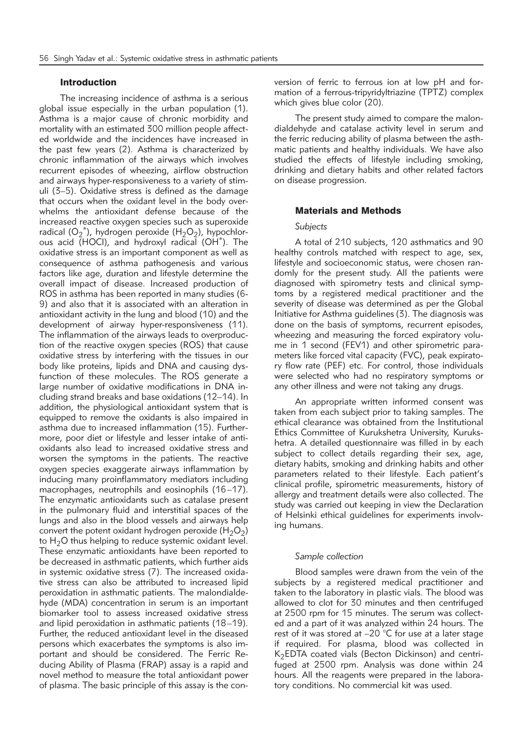## Introduction

The increasing incidence of asthma is a serious global issue especially in the urban population (1). Asthma is a major cause of chronic morbidity and mortality with an estimated 300 million people affected worldwide and the incidences have increased in the past few years (2). Asthma is characterized by chronic inflammation of the airways which involves recurrent episodes of wheezing, airflow obstruction and airways hyper-responsiveness to a variety of stimuli (3–5). Oxidative stress is defined as the damage that occurs when the oxidant level in the body overwhelms the antioxidant defense because of the increased reactive oxygen species such as superoxide radical (O<sub>2</sub><sup>\*</sup>), hydrogen peroxide (H<sub>2</sub>O<sub>2</sub>), hypochlorous acid (HOCl), and hydroxyl radical (OH\*). The oxidative stress is an important component as well as consequence of asthma pathogenesis and various factors like age, duration and lifestyle determine the overall impact of disease. Increased production of ROS in asthma has been reported in many studies (6- 9) and also that it is associated with an alteration in antioxidant activity in the lung and blood (10) and the development of airway hyper-responsiveness (11). The inflammation of the airways leads to overproduction of the reactive oxygen species (ROS) that cause oxidative stress by interfering with the tissues in our body like proteins, lipids and DNA and causing dysfunction of these molecules. The ROS generate a large number of oxidative modifications in DNA including strand breaks and base oxidations (12–14). In addition, the physiological antioxidant system that is equipped to remove the oxidants is also impaired in asthma due to increased inflammation (15). Further more, poor diet or lifestyle and lesser intake of antioxidants also lead to increased oxidative stress and worsen the symptoms in the patients. The reactive oxygen species exaggerate airways inflammation by inducing many proinflammatory mediators including macrophages, neutrophils and eosinophils (16–17). The enzymatic antioxidants such as catalase present in the pulmonary fluid and interstitial spaces of the lungs and also in the blood vessels and airways help convert the potent oxidant hydrogen peroxide  $(H_2O_2)$ to  $H<sub>2</sub>O$  thus helping to reduce systemic oxidant level. These enzymatic antioxidants have been reported to be decreased in asthmatic patients, which further aids in systemic oxidative stress (7). The increased oxidative stress can also be attributed to increased lipid peroxidation in asthmatic patients. The malondialdehyde (MDA) concentration in serum is an important biomarker tool to assess increased oxidative stress and lipid peroxidation in asthmatic patients (18–19). Further, the reduced antioxidant level in the diseased persons which exacerbates the symptoms is also important and should be considered. The Ferric Reducing Ability of Plasma (FRAP) assay is a rapid and novel method to measure the total antioxidant power of plasma. The basic principle of this assay is the conversion of ferric to ferrous ion at low pH and formation of a ferrous-tripyridyltriazine (TPTZ) complex which gives blue color (20).

The present study aimed to compare the malondialdehyde and catalase activity level in serum and the ferric reducing ability of plasma between the asthmatic patients and healthy individuals. We have also studied the effects of lifestyle including smoking, drinking and dietary habits and other related factors on disease progression.

#### Materials and Methods

## *Subjects*

A total of 210 subjects, 120 asthmatics and 90 healthy controls matched with respect to age, sex, lifestyle and socioeconomic status, were chosen randomly for the present study. All the patients were diagnosed with spirometry tests and clinical symptoms by a registered medical practitioner and the severity of disease was determined as per the Global Initiative for Asthma guidelines (3). The diagnosis was done on the basis of symptoms, recurrent episodes, wheezing and measuring the forced expiratory volume in 1 second (FEV1) and other spirometric parameters like forced vital capacity (FVC), peak expiratory flow rate (PEF) etc. For control, those individuals were selected who had no respiratory symptoms or any other illness and were not taking any drugs.

An appropriate written informed consent was taken from each subject prior to taking samples. The ethical clearance was obtained from the Institutional Ethics Committee of Kurukshetra University, Kurukshetra. A detailed questionnaire was filled in by each subject to collect details regarding their sex, age, dietary habits, smoking and drinking habits and other parameters related to their lifestyle. Each patient's clinical profile, spirometric measurements, history of allergy and treatment details were also collected. The study was carried out keeping in view the Declaration of Helsinki ethical guidelines for experiments involving humans.

## *Sample collection*

Blood samples were drawn from the vein of the subjects by a registered medical practitioner and taken to the laboratory in plastic vials. The blood was allowed to clot for 30 minutes and then centrifuged at 2500 rpm for 15 minutes. The serum was collected and a part of it was analyzed within 24 hours. The rest of it was stored at  $-20$  °C for use at a later stage if required. For plasma, blood was collected in K<sub>2</sub>EDTA coated vials (Becton Dickinson) and centrifuged at 2500 rpm. Analysis was done within 24 hours. All the reagents were prepared in the laboratory conditions. No commercial kit was used.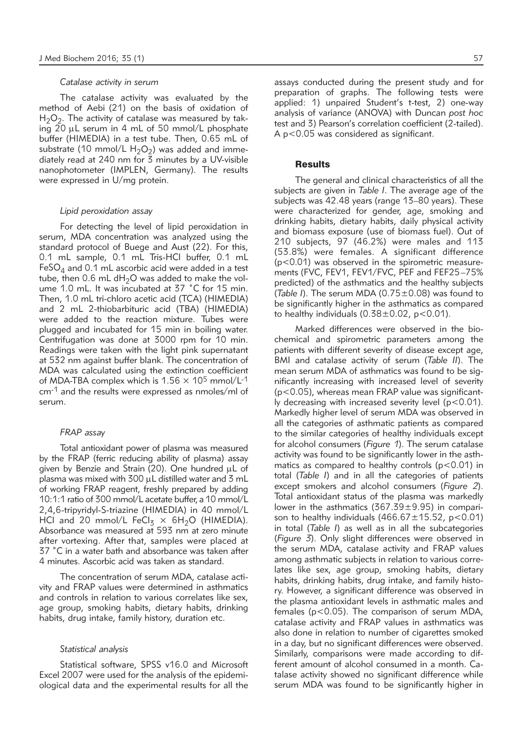#### *Catalase activity in serum*

The catalase activity was evaluated by the method of Aebi (21) on the basis of oxidation of  $H_2O_2$ . The activity of catalase was measured by taking  $20 \mu L$  serum in 4 mL of 50 mmol/L phosphate buffer (HIMEDIA) in a test tube. Then, 0.65 mL of substrate (10 mmol/L  $H_2O_2$ ) was added and immediately read at 240 nm for  $\bar{5}$  minutes by a UV-visible nanophotometer (IMPLEN, Germany). The results were expressed in U/mg protein.

#### *Lipid peroxidation assay*

For detecting the level of lipid peroxidation in serum, MDA concentration was analyzed using the standard protocol of Buege and Aust (22). For this, 0.1 mL sample, 0.1 mL Tris-HCl buffer, 0.1 mL  $FeSO<sub>4</sub>$  and 0.1 mL ascorbic acid were added in a test tube, then 0.6 mL  $dH<sub>2</sub>O$  was added to make the volume 1.0 mL. It was incubated at 37 ˚C for 15 min. Then, 1.0 mL tri-chloro acetic acid (TCA) (HIMEDIA) and 2 mL 2-thiobarbituric acid (TBA) (HIMEDIA) were added to the reaction mixture. Tubes were plugged and incubated for 15 min in boiling water. Centrifugation was done at 3000 rpm for 10 min. Readings were taken with the light pink supernatant at 532 nm against buffer blank. The concentration of MDA was calculated using the extinction coefficient of MDA-TBA complex which is  $1.56 \times 10^5$  mmol/L-1 cm-1 and the results were expressed as nmoles/ml of serum.

#### *FRAP assay*

Total antioxidant power of plasma was measured by the FRAP (ferric reducing ability of plasma) assay given by Benzie and Strain (20). One hundred  $\mu$ L of plasma was mixed with 300 µL distilled water and 3 mL of working FRAP reagent, freshly prepared by adding 10:1:1 ratio of 300 mmol/L acetate buffer, a 10 mmol/L 2,4,6-tripyridyl-S-triazine (HIMEDIA) in 40 mmol/L HCl and 20 mmol/L FeCl<sub>3</sub>  $\times$  6H<sub>2</sub>O (HIMEDIA). Absorbance was measured at 593 nm at zero minute after vortexing. After that, samples were placed at 37 ˚C in a water bath and absorbance was taken after 4 minutes. Ascorbic acid was taken as standard.

The concentration of serum MDA, catalase activity and FRAP values were determined in asthmatics and controls in relation to various correlates like sex, age group, smoking habits, dietary habits, drinking habits, drug intake, family history, duration etc.

## *Statistical analysis*

Statistical software, SPSS v16.0 and Microsoft Excel 2007 were used for the analysis of the epidemiological data and the experimental results for all the assays conducted during the present study and for preparation of graphs. The following tests were applied: 1) unpaired Student's t-test, 2) one-way analysis of variance (ANOVA) with Duncan *post hoc* test and 3) Pearson's correlation coefficient (2-tailed). A p<0.05 was considered as significant.

#### **Results**

The general and clinical characteristics of all the subjects are given in *Table I*. The average age of the subjects was 42.48 years (range 13–80 years). These were characterized for gender, age, smoking and drinking habits, dietary habits, daily physical activity and biomass exposure (use of biomass fuel). Out of 210 subjects, 97 (46.2%) were males and 113 (53.8%) were females. A significant difference (p<0.01) was observed in the spirometric measurements (FVC, FEV1, FEV1/FVC, PEF and FEF25–75% predicted) of the asthmatics and the healthy subjects (*Table I*). The serum MDA (0.75±0.08) was found to be significantly higher in the asthmatics as compared to healthy individuals  $(0.38\pm0.02, p<0.01)$ .

Marked differences were observed in the biochemical and spirometric parameters among the patients with different severity of disease except age, BMI and catalase activity of serum (*Table II*). The mean serum MDA of asthmatics was found to be significantly increasing with increased level of severity (p<0.05), whereas mean FRAP value was significantly decreasing with increased severity level (p<0.01). Markedly higher level of serum MDA was observed in all the categories of asthmatic patients as compared to the similar categories of healthy individuals except for alcohol consumers (*Figure 1*). The serum catalase activity was found to be significantly lower in the asthmatics as compared to healthy controls  $(p<0.01)$  in total (*Table I*) and in all the categories of patients except smokers and alcohol consumers (*Figure 2*). Total antioxidant status of the plasma was markedly lower in the asthmatics (367.39±9.95) in comparison to healthy individuals  $(466.67 \pm 15.52, p < 0.01)$ in total (*Table I*) as well as in all the subcategories (*Figure 3*). Only slight differences were observed in the serum MDA, catalase activity and FRAP values among asthmatic subjects in relation to various correlates like sex, age group, smoking habits, dietary habits, drinking habits, drug intake, and family history. However, a significant difference was observed in the plasma antioxidant levels in asthmatic males and females (p<0.05). The comparison of serum MDA, catalase activity and FRAP values in asthmatics was also done in relation to number of cigarettes smoked in a day, but no significant differences were observed. Similarly, comparisons were made according to different amount of alcohol consumed in a month. Catalase activity showed no significant difference while serum MDA was found to be significantly higher in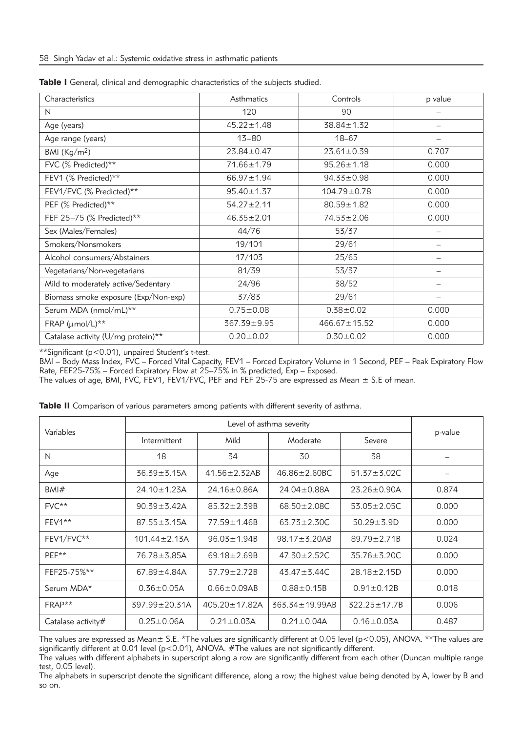| Characteristics                      | Asthmatics       | Controls           | p value |
|--------------------------------------|------------------|--------------------|---------|
| N                                    | 120              | 90                 |         |
| Age (years)                          | $45.22 \pm 1.48$ | 38.84±1.32         | —       |
| Age range (years)                    | $13 - 80$        | $18 - 67$          | -       |
| BMI $(Kg/m2)$                        | $23.84 \pm 0.47$ | $23.61 \pm 0.39$   | 0.707   |
| FVC (% Predicted)**                  | 71.66±1.79       | $95.26 \pm 1.18$   | 0.000   |
| FEV1 (% Predicted)**                 | $66.97 \pm 1.94$ | $94.33 \pm 0.98$   | 0.000   |
| FEV1/FVC (% Predicted)**             | $95.40 \pm 1.37$ | $104.79 \pm 0.78$  | 0.000   |
| PEF (% Predicted)**                  | $54.27 \pm 2.11$ | $80.59 \pm 1.82$   | 0.000   |
| FEF 25-75 (% Predicted)**            | $46.35 \pm 2.01$ | $74.53 \pm 2.06$   | 0.000   |
| Sex (Males/Females)                  | 44/76            | 53/37              |         |
| Smokers/Nonsmokers                   | 19/101           | 29/61              |         |
| Alcohol consumers/Abstainers         | 17/103           | 25/65              |         |
| Vegetarians/Non-vegetarians          | 81/39            | 53/37              |         |
| Mild to moderately active/Sedentary  | 24/96            | 38/52              |         |
| Biomass smoke exposure (Exp/Non-exp) | 37/83            | 29/61              |         |
| Serum MDA (nmol/mL)**                | $0.75 \pm 0.08$  | $0.38 + 0.02$      | 0.000   |
| FRAP $(\mu \text{mol/L})$ **         | 367.39±9.95      | $466.67 \pm 15.52$ | 0.000   |
| Catalase activity (U/mg protein)**   | $0.20 \pm 0.02$  | $0.30 \pm 0.02$    | 0.000   |

|  |  |  |  |  |  | Table I General, clinical and demographic characteristics of the subjects studied. |  |  |  |
|--|--|--|--|--|--|------------------------------------------------------------------------------------|--|--|--|
|--|--|--|--|--|--|------------------------------------------------------------------------------------|--|--|--|

\*\*Significant (p<0.01), unpaired Student's t-test.

BMI – Body Mass Index, FVC – Forced Vital Capacity, FEV1 – Forced Expiratory Volume in 1 Second, PEF – Peak Expiratory Flow Rate, FEF25-75% – Forced Expiratory Flow at 25–75% in % predicted, Exp – Exposed.

The values of age, BMI, FVC, FEV1, FEV1/FVC, PEF and FEF 25-75 are expressed as Mean ± S.E of mean.

| Variables             |                      |                    |                      |                    |         |  |
|-----------------------|----------------------|--------------------|----------------------|--------------------|---------|--|
|                       | Intermittent         | Mild               | Moderate             | Severe             | p-value |  |
| N                     | 18                   | 34                 | 30                   | 38                 |         |  |
| Age                   | $36.39 \pm 3.15$ A   | $41.56 \pm 2.32AB$ | $46.86 \pm 2.60BC$   | $51.37 \pm 3.02C$  | -       |  |
| BMH                   | $24.10 \pm 1.23$ A   | $24.16 \pm 0.86$ A | $24.04 \pm 0.88$ A   | $23.26 \pm 0.90$ A | 0.874   |  |
| FVC**                 | $90.39 + 5.42A$      | $85.32 \pm 2.39B$  | $68.50 \pm 2.08$ C   | $53.05 \pm 2.05C$  | 0.000   |  |
| $FEV1**$              | $87.55 \pm 3.15A$    | $77.59 \pm 1.46B$  | $63.73 \pm 2.30C$    | $50.29 \pm 3.9$ D  | 0.000   |  |
| FEV1/FVC**            | $101.44 \pm 2.13$ A  | $96.03 \pm 1.94B$  | $98.17 \pm 5.20AB$   | $89.79 \pm 2.71B$  | 0.024   |  |
| PEF**                 | 76.78±3.85A          | $69.18 \pm 2.69B$  | $47.30 \pm 2.52$ C   | 35.76±3.20C        | 0.000   |  |
| FEF25-75%**           | $67.89 + 4.84A$      | $57.79 \pm 2.72B$  | $43.47 + 5.44C$      | $28.18 \pm 2.15D$  | 0.000   |  |
| Serum MDA*            | $0.36 \pm 0.05$ A    | $0.66 \pm 0.09AB$  | $0.88 \pm 0.15B$     | $0.91 \pm 0.12B$   | 0.018   |  |
| FRAP**                | $397.99 \pm 20.31$ A | 405.20±17.82A      | $363.34 \pm 19.99AB$ | $322.25 \pm 17.7B$ | 0.006   |  |
| Catalase activity $#$ | $0.25 \pm 0.06$ A    | $0.21 \pm 0.03$ A  | $0.21 \pm 0.04$ A    | $0.16 \pm 0.03$ A  | 0.487   |  |

Table II Comparison of various parameters among patients with different severity of asthma.

The values are expressed as Mean± S.E. \*The values are significantly different at 0.05 level (p<0.05), ANOVA. \*\*The values are significantly different at 0.01 level (p<0.01), ANOVA. #The values are not significantly different.

The values with different alphabets in superscript along a row are significantly different from each other (Duncan multiple range test, 0.05 level).

The alphabets in superscript denote the significant difference, along a row; the highest value being denoted by A, lower by B and so on.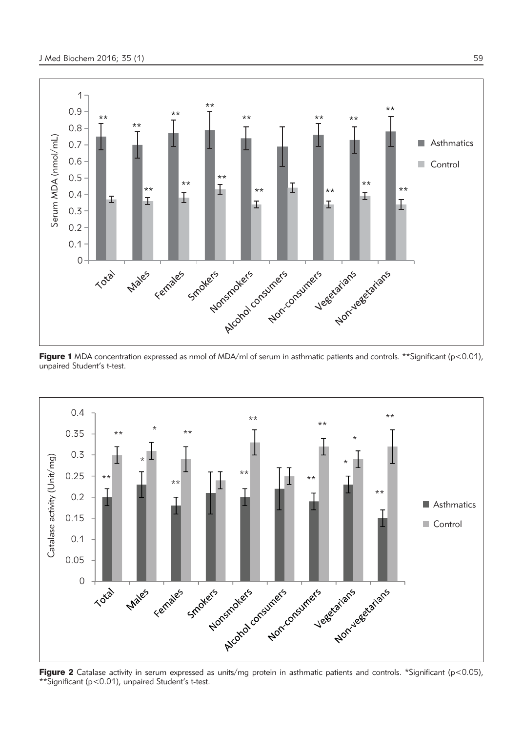

Figure 1 MDA concentration expressed as nmol of MDA/ml of serum in asthmatic patients and controls. \*\*Significant ( $p<0.01$ ), unpaired Student's t-test.



Figure 2 Catalase activity in serum expressed as units/mg protein in asthmatic patients and controls. \*Significant ( $p < 0.05$ ), \*\*Significant (p<0.01), unpaired Student's t-test.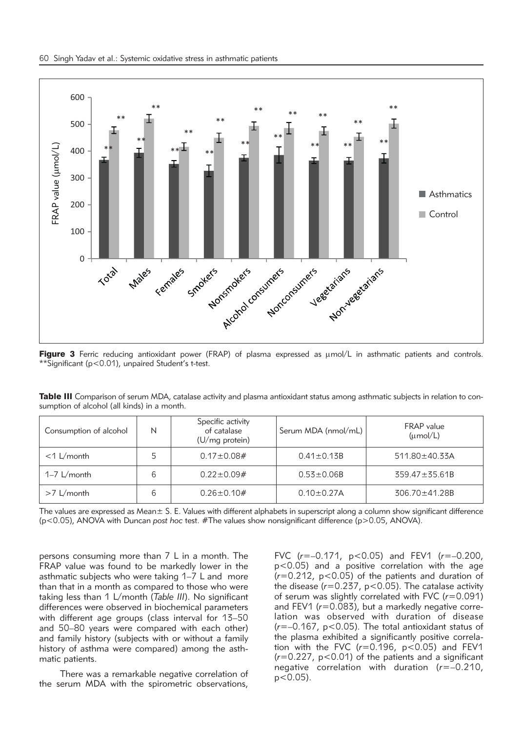

Figure 3 Ferric reducing antioxidant power (FRAP) of plasma expressed as umol/L in asthmatic patients and controls. \*\*Significant (p<0.01), unpaired Student's t-test.

Table III Comparison of serum MDA, catalase activity and plasma antioxidant status among asthmatic subjects in relation to consumption of alcohol (all kinds) in a month.

| Consumption of alcohol | N | Specific activity<br>of catalase<br>(U/mg protein) | Serum MDA (nmol/mL) | <b>FRAP</b> value<br>$(\mu \text{mol/L})$ |
|------------------------|---|----------------------------------------------------|---------------------|-------------------------------------------|
| $<$ 1 L/month          |   | $0.17 \pm 0.08$ #                                  | $0.41 \pm 0.13B$    | 511.80±40.33A                             |
| $1 - 7$ L/month        | 6 | $0.22 \pm 0.09#$                                   | $0.53 \pm 0.06B$    | $359.47 \pm 35.61B$                       |
| $>7$ L/month           |   | $0.26 \pm 0.10#$                                   | $0.10 \pm 0.27$ A   | $306.70 \pm 41.28B$                       |

The values are expressed as Mean± S. E. Values with different alphabets in superscript along a column show significant difference (p<0.05), ANOVA with Duncan *post hoc* test. #The values show nonsignificant difference (p>0.05, ANOVA).

persons consuming more than 7 L in a month. The FRAP value was found to be markedly lower in the asthmatic subjects who were taking 1–7 L and more than that in a month as compared to those who were taking less than 1 L/month (*Table III*). No significant differences were observed in biochemical parameters with different age groups (class interval for 13–50 and 50–80 years were compared with each other) and family history (subjects with or without a family history of asthma were compared) among the asthmatic patients.

There was a remarkable negative correlation of the serum MDA with the spirometric observations,

FVC (*r*=–0.171, p<0.05) and FEV1 (*r*=–0.200, p<0.05) and a positive correlation with the age (*r*=0.212, p<0.05) of the patients and duration of the disease (*r*=0.237, p<0.05). The catalase activity of serum was slightly correlated with FVC (*r*=0.091) and FEV1 (r=0.083), but a markedly negative correlation was observed with duration of disease (*r*=–0.167, p<0.05). The total antioxidant status of the plasma exhibited a significantly positive correlation with the FVC (*r*=0.196, p<0.05) and FEV1 (*r*=0.227, p<0.01) of the patients and a significant negative correlation with duration (*r*=–0.210,  $p < 0.05$ ).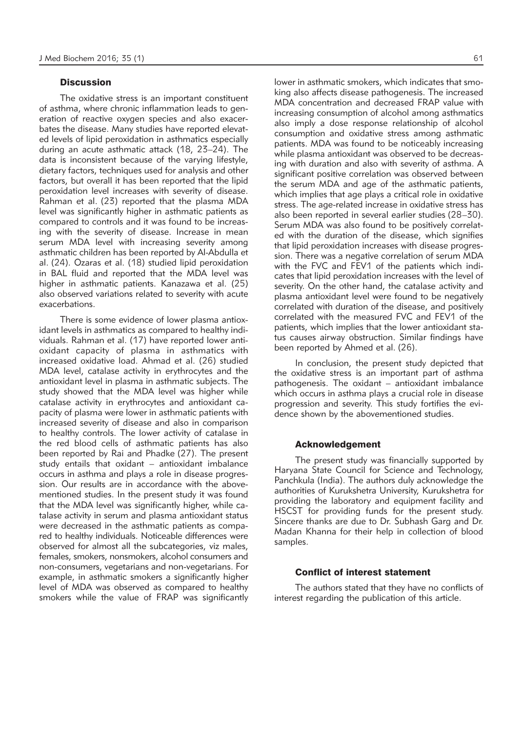## **Discussion**

The oxidative stress is an important constituent of asthma, where chronic inflammation leads to generation of reactive oxygen species and also exacerbates the disease. Many studies have reported elevated levels of lipid peroxidation in asthmatics especially during an acute asthmatic attack (18, 23–24). The data is inconsistent because of the varying lifestyle, dietary factors, techniques used for analysis and other factors, but overall it has been reported that the lipid peroxidation level increases with severity of disease. Rahman et al. (23) reported that the plasma MDA level was significantly higher in asthmatic patients as compared to controls and it was found to be increasing with the severity of disease. Increase in mean serum MDA level with increasing severity among asthmatic children has been reported by Al-Abdulla et al. (24). Ozaras et al. (18) studied lipid peroxidation in BAL fluid and reported that the MDA level was higher in asthmatic patients. Kanazawa et al. (25) also observed variations related to severity with acute exacerbations.

There is some evidence of lower plasma antioxidant levels in asthmatics as compared to healthy individuals. Rahman et al. (17) have reported lower antioxidant capacity of plasma in asthmatics with increased oxidative load. Ahmad et al. (26) studied MDA level, catalase activity in erythrocytes and the antioxidant level in plasma in asthmatic subjects. The study showed that the MDA level was higher while catalase activity in erythrocytes and antioxidant capacity of plasma were lower in asthmatic patients with increased severity of disease and also in comparison to healthy controls. The lower activity of catalase in the red blood cells of asthmatic patients has also been reported by Rai and Phadke (27). The present study entails that oxidant – antioxidant imbalance occurs in asthma and plays a role in disease progression. Our results are in accordance with the abovementioned studies. In the present study it was found that the MDA level was significantly higher, while catalase activity in serum and plasma antioxidant status were decreased in the asthmatic patients as compared to healthy individuals. Noticeable differences were observed for almost all the subcategories, viz males, females, smokers, nonsmokers, alcohol consumers and non-consumers, vegetarians and non-vegetarians. For example, in asthmatic smokers a significantly higher level of MDA was observed as compared to healthy smokers while the value of FRAP was significantly

lower in asthmatic smokers, which indicates that smoking also affects disease pathogenesis. The increased MDA concentration and decreased FRAP value with increasing consumption of alcohol among asthmatics also imply a dose response relationship of alcohol consumption and oxidative stress among asthmatic patients. MDA was found to be noticeably increasing while plasma antioxidant was observed to be decreasing with duration and also with severity of asthma. A significant positive correlation was observed between the serum MDA and age of the asthmatic patients, which implies that age plays a critical role in oxidative stress. The age-related increase in oxidative stress has also been reported in several earlier studies (28–30). Serum MDA was also found to be positively correlated with the duration of the disease, which signifies that lipid peroxidation increases with disease progression. There was a negative correlation of serum MDA with the FVC and FEV1 of the patients which indicates that lipid peroxidation increases with the level of severity. On the other hand, the catalase activity and plasma antioxidant level were found to be negatively correlated with duration of the disease, and positively correlated with the measured FVC and FEV1 of the patients, which implies that the lower antioxidant status causes airway obstruction. Similar findings have been reported by Ahmed et al. (26).

In conclusion, the present study depicted that the oxidative stress is an important part of asthma pathogenesis. The oxidant – antioxidant imbalance which occurs in asthma plays a crucial role in disease progression and severity. This study fortifies the evidence shown by the abovementioned studies.

## Acknowledgement

The present study was financially supported by Haryana State Council for Science and Technology, Panchkula (India). The authors duly acknowledge the authorities of Kurukshetra University, Kurukshetra for providing the laboratory and equipment facility and HSCST for providing funds for the present study. Sincere thanks are due to Dr. Subhash Garg and Dr. Madan Khanna for their help in collection of blood samples.

## Conflict of interest statement

The authors stated that they have no conflicts of interest regarding the publication of this article.